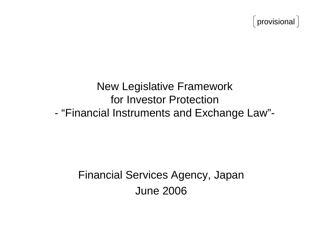provisional

## New Legislative Framework for Investor Protection - "Financial Instruments and Exchange Law"-

# Financial Services Agency, Japan June 2006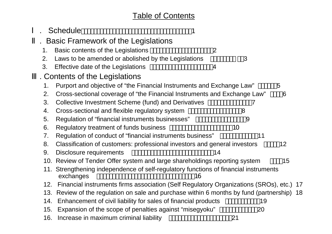#### Table of Contents

|         | <b>Schedule</b>                                                                                         |    |    |    |  |
|---------|---------------------------------------------------------------------------------------------------------|----|----|----|--|
|         | . Basic Framework of the Legislations                                                                   |    |    |    |  |
| $1_{-}$ | Basic contents of the Legislations                                                                      | 2  |    |    |  |
| 2.      | Laws to be amended or abolished by the Legislations                                                     |    | 3  |    |  |
| 3.      | Effective date of the Legislations                                                                      | 4  |    |    |  |
|         | <b>Contents of the Legislations</b>                                                                     |    |    |    |  |
| 1.      | Purport and objective of "the Financial Instruments and Exchange Law"                                   |    |    | 5  |  |
| 2.      | Cross-sectional coverage of "the Financial Instruments and Exchange Law"                                |    |    | 6  |  |
| 3.      | Collective Investment Scheme (fund) and Derivatives                                                     |    |    |    |  |
| 4.      | Cross-sectional and flexible regulatory system                                                          |    | 8  |    |  |
| 5.      | Regulation of "financial instruments businesses"                                                        |    | 9  |    |  |
| 6.      | Regulatory treatment of funds business                                                                  |    | 10 |    |  |
| 7.      | Regulation of conduct of "financial instruments business"                                               |    | 11 |    |  |
| 8.      | Classification of customers: professional investors and general investors                               |    |    | 12 |  |
| 9.      | Disclosure requirements                                                                                 | 14 |    |    |  |
|         | 10. Review of Tender Offer system and large shareholdings reporting system                              |    |    | 15 |  |
|         | 11. Strengthening independence of self-regulatory functions of financial instruments<br>exchanges<br>16 |    |    |    |  |
| 12.     | Financial instruments firms association (Self Regulatory Organizations (SROs), etc.) 17                 |    |    |    |  |
| 13.     | Review of the regulation on sale and purchase within 6 months by fund (partnership) 18                  |    |    |    |  |
| 14.     | Enhancement of civil liability for sales of financial products                                          |    | 19 |    |  |
| 15.     | Expansion of the scope of penalties against "misegyoku"                                                 |    | 20 |    |  |
| 16.     | Increase in maximum criminal liability                                                                  |    | 21 |    |  |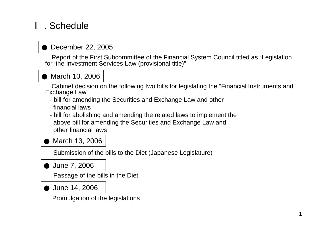## . Schedule

## December 22, 2005

Report of the First Subcommittee of the Financial System Council titled as "Legislation for 'the Investment Services Law (provisional title)"

March 10, 2006

Cabinet decision on the following two bills for legislating the "Financial Instruments and Exchange Law"

- bill for amending the Securities and Exchange Law and other financial laws
- bill for abolishing and amending the related laws to implement the above bill for amending the Securities and Exchange Law and other financial laws

March 13, 2006

Submission of the bills to the Diet (Japanese Legislature)

June 7, 2006

Passage of the bills in the Diet

June 14, 2006

Promulgation of the legislations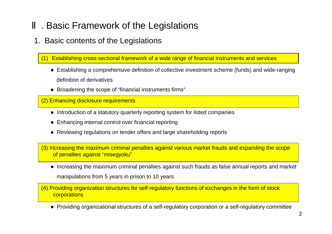## . Basic Framework of the Legislations

#### 1. Basic contents of the Legislations

(1) Establishing cross-sectional framework of a wide range of financial instruments and services

- Establishing a comprehensive definition of collective investment scheme (funds) and wide-ranging definition of derivatives
- Broadening the scope of "financial instruments firms"

(2) Enhancing disclosure requirements

- Introduction of a statutory quarterly reporting system for listed companies
- Enhancing internal control over financial reporting
- Reviewing regulations on tender offers and large shareholding reports

(3) Increasing the maximum criminal penalties against various market frauds and expanding the scope of penalties against "misegyoku"

• Increasing the maximum criminal penalties against such frauds as false annual reports and market manipulations from 5 years in prison to 10 years

(4) Providing organization structures for self-regulatory functions of exchanges in the form of stock **corporations** 

• Providing organizational structures of a self-regulatory corporation or a self-regulatory committee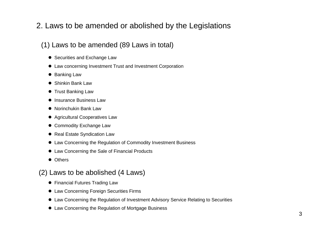### 2. Laws to be amended or abolished by the Legislations

#### (1) Laws to be amended (89 Laws in total)

- Securities and Exchange Law
- Law concerning Investment Trust and Investment Corporation
- $\bullet$  Banking Law
- Shinkin Bank Law
- Trust Banking Law
- Insurance Business Law
- Norinchukin Bank Law
- Agricultural Cooperatives Law
- Commodity Exchange Law
- Real Estate Syndication Law
- Law Concerning the Regulation of Commodity Investment Business
- Law Concerning the Sale of Financial Products
- Others

#### (2) Laws to be abolished (4 Laws)

- Financial Futures Trading Law
- **Law Concerning Foreign Securities Firms**
- Law Concerning the Regulation of Investment Advisory Service Relating to Securities
- O ● Law Concerning the Regulation of Mortgage Business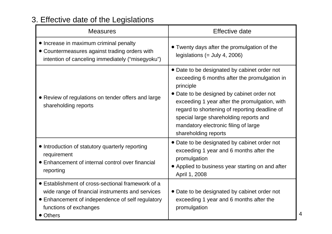## 3. Effective date of the Legislations

| <b>Measures</b>                                                                                                                                                                                 | Effective date                                                                                                                                                                                                                                                                                                                                                      |  |
|-------------------------------------------------------------------------------------------------------------------------------------------------------------------------------------------------|---------------------------------------------------------------------------------------------------------------------------------------------------------------------------------------------------------------------------------------------------------------------------------------------------------------------------------------------------------------------|--|
| • Increase in maximum criminal penalty<br>• Countermeasures against trading orders with<br>intention of canceling immediately ("misegyoku")                                                     | • Twenty days after the promulgation of the<br>legislations (= July 4, 2006)                                                                                                                                                                                                                                                                                        |  |
| • Review of regulations on tender offers and large<br>shareholding reports                                                                                                                      | • Date to be designated by cabinet order not<br>exceeding 6 months after the promulgation in<br>principle<br>• Date to be designed by cabinet order not<br>exceeding 1 year after the promulgation, with<br>regard to shortening of reporting deadline of<br>special large shareholding reports and<br>mandatory electronic filing of large<br>shareholding reports |  |
| • Introduction of statutory quarterly reporting<br>requirement<br>• Enhancement of internal control over financial<br>reporting                                                                 | • Date to be designated by cabinet order not<br>exceeding 1 year and 6 months after the<br>promulgation<br>• Applied to business year starting on and after<br>April 1, 2008                                                                                                                                                                                        |  |
| • Establishment of cross-sectional framework of a<br>wide range of financial instruments and services<br>• Enhancement of independence of self regulatory<br>functions of exchanges<br>• Others | • Date to be designated by cabinet order not<br>exceeding 1 year and 6 months after the<br>promulgation                                                                                                                                                                                                                                                             |  |

4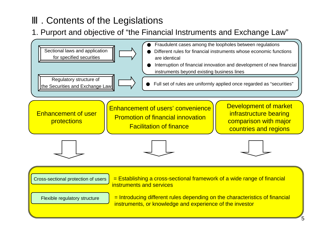## . Contents of the Legislations

1. Purport and objective of "the Financial Instruments and Exchange Law"

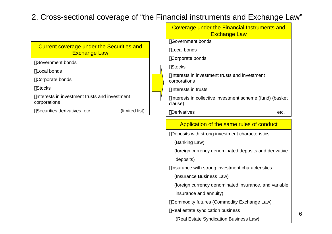#### 2. Cross-sectional coverage of "the Financial instruments and Exchange Law"

|                                                                         | Coverage under the Financial Instruments and<br><b>Exchange Law</b> |      |
|-------------------------------------------------------------------------|---------------------------------------------------------------------|------|
|                                                                         | Government bonds                                                    |      |
| <b>Current coverage under the Securities and</b><br><b>Exchange Law</b> | Local bonds                                                         |      |
|                                                                         | Corporate bonds                                                     |      |
| Government bonds                                                        | <b>Stocks</b>                                                       |      |
| Local bonds                                                             | Interests in investment trusts and investment                       |      |
| Corporate bonds                                                         | corporations                                                        |      |
| <b>Stocks</b>                                                           | Interests in trusts                                                 |      |
| Interests in investment trusts and investment<br>corporations           | Interests in collective investment scheme (fund) (basket<br>clause) |      |
| Securities derivatives etc.<br>(limited list)                           | <b>Derivatives</b>                                                  | etc. |
|                                                                         |                                                                     |      |

#### Application of the same rules of conduct

Dep osits with strong investment characteristics

(Banking Law)

(foreign currency denominated deposits and derivative deposits)

Insurance with strong investment characteristics

(Insurance Business Law)

(foreign currency denominated insurance, and variable insurance and annuity)

Commodity futures (Commodity Exchange Law)

Real estate syndication b usiness

(Real Estate Syndi cation Business Law)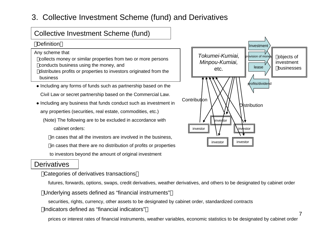#### 3. Collective Investment Scheme (fund) and Derivatives

#### Collective Investment Scheme (fund)

#### **Definition** Investment and the contract of the contract of the contract of the contract of the contract of the contract of

Any scheme that collects money or similar properties from two or more persons conducts business using the money, and distributes profits or properties to investors originated from the business

- Including any forms of funds such as partnership based on the Civil Law or secret partnership based on the Commercial Law.
- $\bullet$  Including any business that funds conduct such as investment in any properties (securities, real estate, commodities, etc.)

(Note) The following are to be excluded in accordance with cabinet orders:

in cases that all the investors are involved in the business,

in cases that there are no distribution of profits or properties

to investors beyond the amount of original investment

#### **Derivatives**

#### Categories of derivatives transactions

futures, forwards, options, swaps, credit derivatives, weather derivatives, and others to be designated by cabinet order

#### Underlying assets defined as "financial instruments"

securities, rights, currency, other assets to be designated by cabinet order, standardized contracts Indicators defined as "financial indicators"



7

prices or interest rates of financial instruments, weather variables, economic statistics to be designated by cabinet order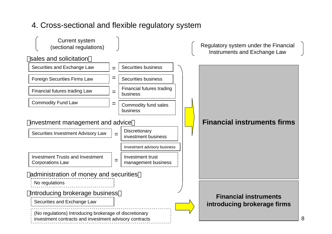## 4. Cross-sectional and flexible regulatory system

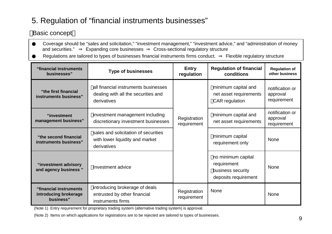## 5. Regulation of "financial instruments businesses"

#### Basic concept

Coverage should be "sales and solicitation," "investment management," "investment advice," and "administration of money and securities."Expanding core businesses Cross-sectional regulatory structure

Regulations are tailored to types of businesses financial instruments firms conduct. Flexible regulatory structure

| "financial instruments<br>businesses"                        | <b>Type of businesses</b>                                                                  |                             | <b>Regulation of financial</b><br>conditions                                   | <b>Regulation of</b><br>other business     |
|--------------------------------------------------------------|--------------------------------------------------------------------------------------------|-----------------------------|--------------------------------------------------------------------------------|--------------------------------------------|
| "the first financial"<br>instruments business"               | all financial instruments businesses<br>dealing with all the securities and<br>derivatives |                             | minimum capital and<br>net asset requirements<br><b>CAR</b> regulation         | notification or<br>approval<br>requirement |
| "investment<br>management business"                          | investment management including<br>discretionary investment businesses                     | Registration<br>requirement | minimum capital and<br>net asset requirements                                  | notification or<br>approval<br>requirement |
| "the second financial<br>instruments business"               | sales and solicitation of securities<br>with lower liquidity and market<br>derivatives     |                             | minimum capital<br>requirement only                                            | <b>None</b>                                |
| "investment advisory<br>and agency business"                 | Investment advice                                                                          |                             | no minimum capital<br>requirement<br>business security<br>deposits requirement | <b>None</b>                                |
| "financial instruments<br>introducing brokerage<br>business" | introducing brokerage of deals<br>entrusted by other financial<br>instruments firms        | Registration<br>requirement | <b>None</b>                                                                    | <b>None</b>                                |

(Note 1) Entry requirement for proprietary trading system (alternative trading system) is approval.

(Note 2) Items on which applications for registrations are to be rejected are tailored to types of businesses.<br>9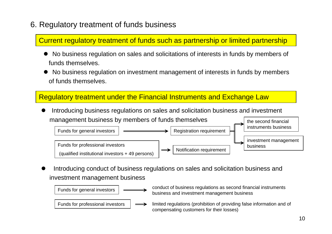## 6. Regulatory treatment of funds business

Current regulatory treatment of funds such as partnership or limited partnership

- $\bullet$ • No business regulation on sales and solicitations of interests in funds by members of funds themselves.
- $\bullet$  No business regulation on investment management of interests in funds by members of funds themsel ves.

#### Regulatory treatment under the Financial Instruments and Exchange Law

 $\bullet$  Introducing business regulations on sales and solicitation business and investment management business by members of funds themselves the second financial



 $\bullet$  Introducing conduct of business regulations on sales and solicitation business and investment management business

Funds for general investors

Funds for professional investors

- conduct of busi ness regulations as secon d financi al instruments busi ness and i nvestment management business
- limited regulations (prohibition of providing false i nformation and of comp e nsating customers for their losses)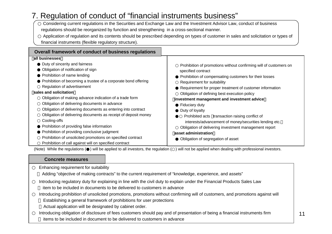#### 7. Regulation of conduct of "financial ins truments business"

Considering current regulations in the Securities and Exchange Law and the Investment Advisor Law, conduct of business regulations should be reorganized by function and strengthening in a cross-sectional manner.

Application of regulation and its contents should be prescribed depending on types of customer in sales and solicitation or types of financial instruments (flexible regulatory structure).

| Overall framework of conduct of business regulations           |                                                                   |
|----------------------------------------------------------------|-------------------------------------------------------------------|
| all businesses                                                 |                                                                   |
| Duty of sincerity and fairness                                 | Prohibition of promotions without confirming will of customers on |
| Obligation of notification of sign                             | specified contract                                                |
| Prohibition of name lending                                    | Prohibition of compensating customers for their losses            |
| Prohibition of becoming a trustee of a corporate bond offering | Requirement for suitability                                       |
| Regulation of advertisement                                    | Requirement for proper treatment of customer information          |
| sales and solicitation                                         | Obligation of defining best execution policy                      |
| Obligation of making advance indication of a trade form        | investment management and investment advice                       |
| Obligation of delivering documents in advance                  | Fiduciary duty                                                    |
| Obligation of delivering documents as entering into contract   | Duty of loyalty                                                   |
| Obligation of delivering documents as receipt of deposit money | Prohibited acts transaction raising conflict of                   |
| Cooling-offs                                                   | interests/advancement of money/securities lending etc.            |
| Prohibition of providing false information                     | Obligation of delivering investment management report             |
| Prohibition of providing conclusive judgment                   | asset administration                                              |
| Prohibition of unsolicited promotions on specified contract    | Obligation of segregation of asset                                |
| Prohibition of call against will on specified contract         |                                                                   |

(Note) While the regulations ( ) will be applied to all investors, the regulation ( ) will not be applied when dealing with professional investors.

#### **Concrete measures**

Enhancing requirement for suita bility

Adding "objective of making contracts" to the current requirement of "knowled g e, experience, and assets"

Introducing regulatory duty for explaining in line with the civil duty to explain under the Financial Product s Sales Law

item to be included in documents to be delivered to customers in advance

Introducing prohibition of unsolicited promotions, promotions without confirming will of customers, and pro motions against will

Establishing a general framework of prohibitions for u ser protections

Actual application will be designated by cabinet order.

Introducing obligation of disclosure of fees customers should pay and of presentation of being a financial instruments firm items to be included in document to be deli vered to customers in advance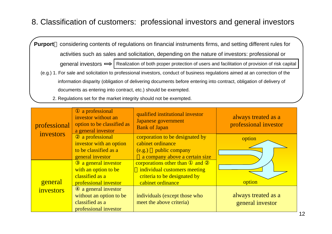#### 8. Classification of customers: professional investors and general investors

**Purport** considering contents of regulations on financial instruments firms, and setting different rules for activities such as sales and solicitation, depending on the nature of investors: professional or general investors  $\Longrightarrow$  | Realization of both proper protection of users and facilitation of provision of risk capital (e.g.) 1. For sale and solicitation to professional investors, conduct of business regulations aimed at an correction of the information disparity (obligation of delivering documents before entering into contract, obligation of delivery of documents as entering into contract, etc.) should be exempted.

2. Regulations set for the market integrity should not be exempted.

| professional | a professional<br>investor without an<br>option to be classified as<br>a general investor | qualified institutional investor<br><b>Japanese government</b><br><b>Bank of Japan</b>                              | always treated as a<br>professional investor |
|--------------|-------------------------------------------------------------------------------------------|---------------------------------------------------------------------------------------------------------------------|----------------------------------------------|
| investors    | a professional<br>investor with an option<br>to be classified as a                        | corporation to be designated by<br>cabinet ordinance<br>(e.g.) public company                                       | option                                       |
|              | general investor                                                                          | a company above a certain size                                                                                      |                                              |
| general      | a general investor<br>with an option to be<br>classified as a<br>professional investor    | corporations other than<br>and<br>individual customers meeting<br>criteria to be designated by<br>cabinet ordinance | option                                       |
| investors    | a general investor<br>without an option to be<br>classified as a<br>professional investor | individuals (except those who<br>meet the above criteria)                                                           | always treated as a<br>general investor      |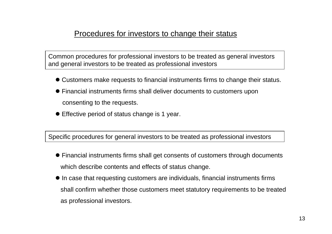#### Procedures for investors to change their status

Common procedures for professional investors to be treated as general investors and general investors to be treated as professional investors

- Customers make requests to financial instruments firms to change their status.
- Financial instruments firms shall deliver documents to customers upon consenting to the requests.
- Effective period of status change is 1 year.

Specific procedures for general investors to be treated as professional investors

- Financial instruments firms shall get consents of customers through documents which describe contents and effects of status change.
- $\bullet$  In case that requesting customers are individuals, financial instruments firms shall confirm whether those customers meet statutory requirements to be treated as professional investors.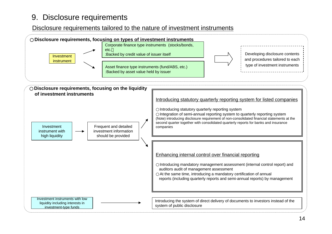#### 9. Disclosure requirements

#### Disclosure requirements tailored to the nature of investment instruments

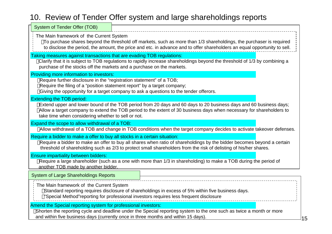### 10. Review of Tender Offer system and large shareholdings reports

| System of Tender Offer (TOB)                                                                                                                                                                                                                                                                                                        |  |  |  |  |  |  |
|-------------------------------------------------------------------------------------------------------------------------------------------------------------------------------------------------------------------------------------------------------------------------------------------------------------------------------------|--|--|--|--|--|--|
| The Main framework of the Current System<br>To purchase shares beyond the threshold off markets, such as more than 1/3 shareholdings, the purchaser is required<br>to disclose the period, the amount, the price and etc. in advance and to offer shareholders an equal opportunity to sell.                                        |  |  |  |  |  |  |
| Taking measures against transactions that are evading TOB regulations:<br>Clarify that it is subject to TOB regulations to rapidly increase shareholdings beyond the threshold of 1/3 by combining a<br>purchase of the stocks off the markets and a purchase on the markets.                                                       |  |  |  |  |  |  |
| Providing more information to investors:<br>Require further disclosure in the "registration statement" of a TOB;<br>Require the filing of a "position statement report" by a target company;<br>Giving the opportunity for a target company to ask a questions to the tender offerors.                                              |  |  |  |  |  |  |
| <b>Extending the TOB period:</b><br>Extend upper and lower bound of the TOB period from 20 days and 60 days to 20 business days and 60 business days;<br>Allow a target company to extend the TOB period to the extent of 30 business days when necessary for shareholders to<br>take time when considering whether to sell or not. |  |  |  |  |  |  |
| Expand the scope to allow withdrawal of a TOB:<br>Allow withdrawal of a TOB and change in TOB conditions when the target company decides to activate takeover defenses.                                                                                                                                                             |  |  |  |  |  |  |
| Require a bidder to make a offer to buy all stocks in a certain situation:<br>Require a bidder to make an offer to buy all shares when ratio of shareholdings by the bidder becomes beyond a certain<br>threshold of shareholding such as 2/3 to protect small shareholders from the risk of delisting of his/her shares.           |  |  |  |  |  |  |
| <b>Ensure impartiality between bidders:</b><br>Require a large shareholder (such as a one with more than 1/3 in shareholding) to make a TOB during the period of<br>another TOB made by another bidder.                                                                                                                             |  |  |  |  |  |  |
| <b>System of Large Shareholdings Reports</b>                                                                                                                                                                                                                                                                                        |  |  |  |  |  |  |
| The Main framework of the Current System<br>Standard reporting requires disclosure of shareholdings in excess of 5% within five business days.<br>"Special Method"reporting for professional investors requires less frequent disclosure                                                                                            |  |  |  |  |  |  |
| Amend the Special reporting system for professional investors:<br>Shorten the reporting cycle and deadline under the Special reporting system to the one such as twice a month or more<br>and within five business days (currently once in three months and within 15 days).                                                        |  |  |  |  |  |  |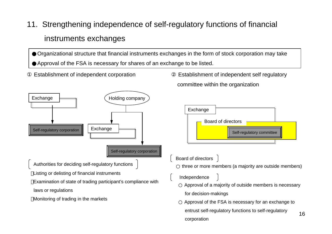11. Strengthening independence of self-regulatory functions of financial instruments exchanges

Organizational structure that financial instruments exchanges in the form of stock corporation may take Approval of the FSA is necessary for shares of an exchange to be listed.



Establishment of independent corporation Establishment of independent self regulatory committee within the organization



Board of directors

or deciding self-regulatory functions  $\quad \big\}$  three or more members (a majority are outside members)

Independence

Approval of a majority of outsi d e members is necess ary

for decision-makings

Approval of the FSA is necessary for an exchange to

entrust self-regulatory functions to self-regulatory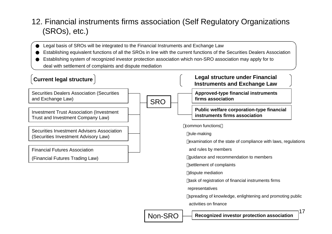## 12. Financial instruments firms association (Self Regulatory Organizations (SROs), etc.)

Legal basis of SROs will be integrated to the Financial Instruments and Exchange Law Establishing equivalent functions of all the SROs in line with the current functions of the Securities Dealers Association Establishing system of recognized investor protection association which non-SRO association may apply for to deal with settlement of complaints and dispute mediation

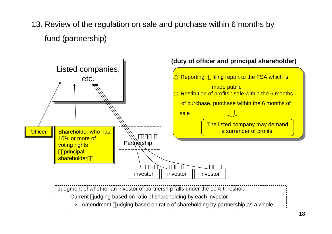13. Review of the regulation on sale and purchase within 6 months by fund (partnership)



Amendm ent judging based on ratio of shareholding by partnership as a whole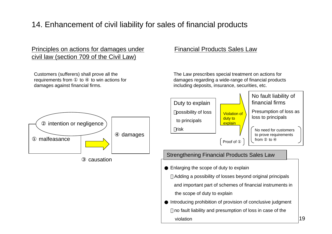## 14. Enhancement of civil liability for sales of financial products

#### Principles on actions for damages under Financial Products Sales Law civil law (section 709 of the Civil Law)

Customers (sufferers) shall prove all the requirement s fromm to to win actions for damages against financial firms.

The Law prescri bes special tre atment on actions for damages regarding a wide-range of financial products including deposits, insurance, securities, etc.

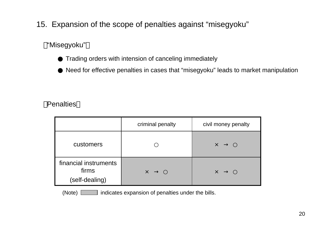## 15. Expansion of the scope of penalties against "misegyoku"

#### "Misegyoku"

Trading orders with intension of canceling immediately

Need for effective penalties in cases that "misegyoku" leads to market manipulation

#### **Penalties**

|                                                  | criminal penalty | civil money penalty |
|--------------------------------------------------|------------------|---------------------|
| customers                                        |                  | $\times$            |
| financial instruments<br>firms<br>(self-dealing) | $\times$         | $\times$            |

(Note) indicates expansion of penalties under the bills.